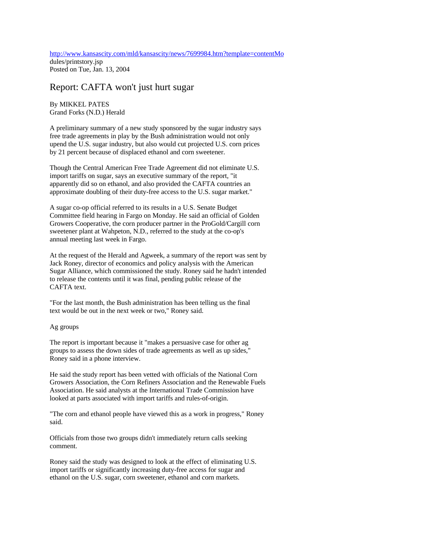http://www.kansascity.com/mld/kansascity/news/7699984.htm?template=contentMo dules/printstory.jsp Posted on Tue, Jan. 13, 2004

## Report: CAFTA won't just hurt sugar

By MIKKEL PATES Grand Forks (N.D.) Herald

A preliminary summary of a new study sponsored by the sugar industry says free trade agreements in play by the Bush administration would not only upend the U.S. sugar industry, but also would cut projected U.S. corn prices by 21 percent because of displaced ethanol and corn sweetener.

Though the Central American Free Trade Agreement did not eliminate U.S. import tariffs on sugar, says an executive summary of the report, "it apparently did so on ethanol, and also provided the CAFTA countries an approximate doubling of their duty-free access to the U.S. sugar market."

A sugar co-op official referred to its results in a U.S. Senate Budget Committee field hearing in Fargo on Monday. He said an official of Golden Growers Cooperative, the corn producer partner in the ProGold/Cargill corn sweetener plant at Wahpeton, N.D., referred to the study at the co-op's annual meeting last week in Fargo.

At the request of the Herald and Agweek, a summary of the report was sent by Jack Roney, director of economics and policy analysis with the American Sugar Alliance, which commissioned the study. Roney said he hadn't intended to release the contents until it was final, pending public release of the CAFTA text.

"For the last month, the Bush administration has been telling us the final text would be out in the next week or two," Roney said.

## Ag groups

The report is important because it "makes a persuasive case for other ag groups to assess the down sides of trade agreements as well as up sides," Roney said in a phone interview.

He said the study report has been vetted with officials of the National Corn Growers Association, the Corn Refiners Association and the Renewable Fuels Association. He said analysts at the International Trade Commission have looked at parts associated with import tariffs and rules-of-origin.

"The corn and ethanol people have viewed this as a work in progress," Roney said.

Officials from those two groups didn't immediately return calls seeking comment.

Roney said the study was designed to look at the effect of eliminating U.S. import tariffs or significantly increasing duty-free access for sugar and ethanol on the U.S. sugar, corn sweetener, ethanol and corn markets.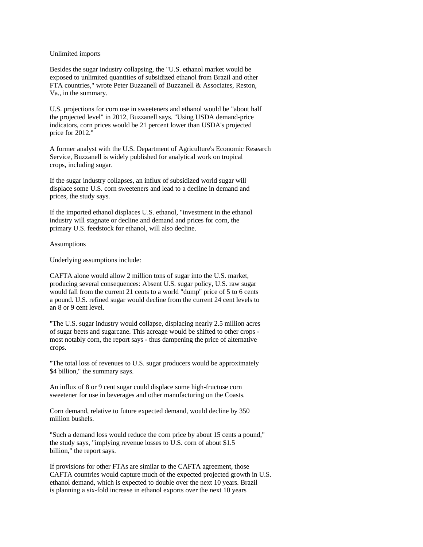## Unlimited imports

Besides the sugar industry collapsing, the "U.S. ethanol market would be exposed to unlimited quantities of subsidized ethanol from Brazil and other FTA countries," wrote Peter Buzzanell of Buzzanell & Associates, Reston, Va., in the summary.

U.S. projections for corn use in sweeteners and ethanol would be "about half the projected level" in 2012, Buzzanell says. "Using USDA demand-price indicators, corn prices would be 21 percent lower than USDA's projected price for 2012."

A former analyst with the U.S. Department of Agriculture's Economic Research Service, Buzzanell is widely published for analytical work on tropical crops, including sugar.

If the sugar industry collapses, an influx of subsidized world sugar will displace some U.S. corn sweeteners and lead to a decline in demand and prices, the study says.

If the imported ethanol displaces U.S. ethanol, "investment in the ethanol industry will stagnate or decline and demand and prices for corn, the primary U.S. feedstock for ethanol, will also decline.

## Assumptions

Underlying assumptions include:

CAFTA alone would allow 2 million tons of sugar into the U.S. market, producing several consequences: Absent U.S. sugar policy, U.S. raw sugar would fall from the current 21 cents to a world "dump" price of 5 to 6 cents a pound. U.S. refined sugar would decline from the current 24 cent levels to an 8 or 9 cent level.

"The U.S. sugar industry would collapse, displacing nearly 2.5 million acres of sugar beets and sugarcane. This acreage would be shifted to other crops most notably corn, the report says - thus dampening the price of alternative crops.

"The total loss of revenues to U.S. sugar producers would be approximately \$4 billion," the summary says.

An influx of 8 or 9 cent sugar could displace some high-fructose corn sweetener for use in beverages and other manufacturing on the Coasts.

Corn demand, relative to future expected demand, would decline by 350 million bushels.

"Such a demand loss would reduce the corn price by about 15 cents a pound," the study says, "implying revenue losses to U.S. corn of about \$1.5 billion," the report says.

If provisions for other FTAs are similar to the CAFTA agreement, those CAFTA countries would capture much of the expected projected growth in U.S. ethanol demand, which is expected to double over the next 10 years. Brazil is planning a six-fold increase in ethanol exports over the next 10 years